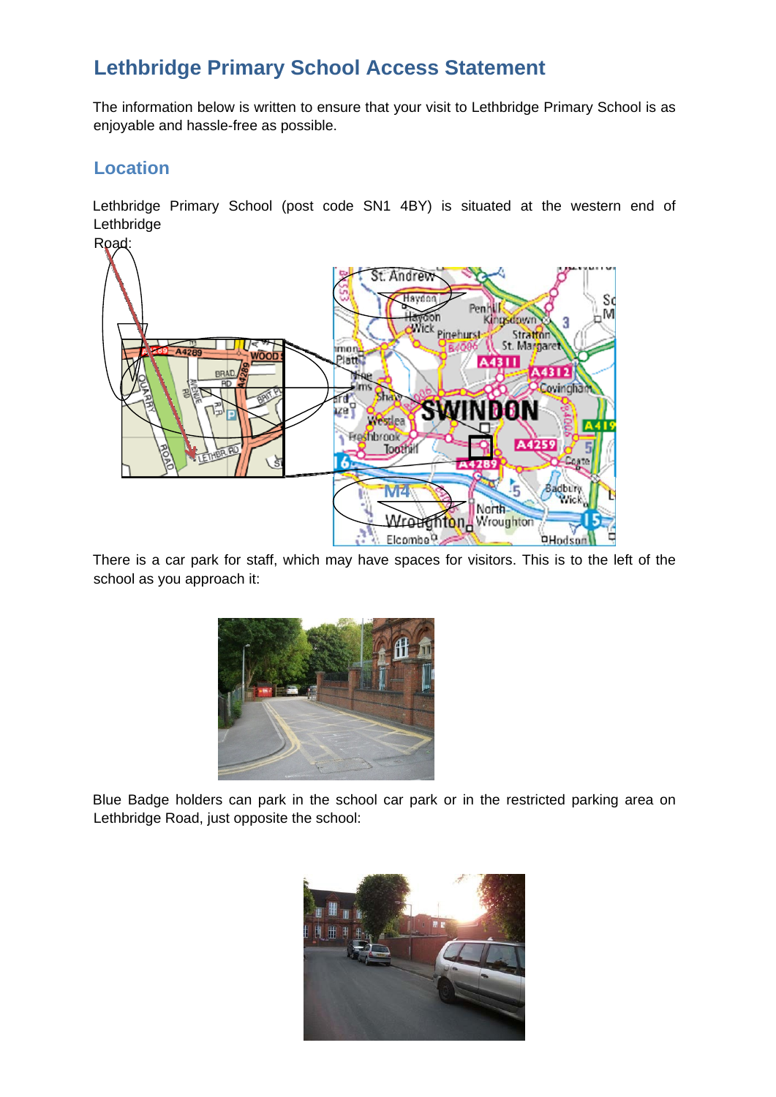## **Lethbridge Primary School Access Statement**

The information below is written to ensure that your visit to Lethbridge Primary School is as enjoyable and hassle-free as possible.

## **Location**

Lethbridge Primary School (post code SN1 4BY) is situated at the western end of Lethbridge



There is a car park for staff, which may have spaces for visitors. This is to the left of the school as you approach it:



Blue Badge holders can park in the school car park or in the restricted parking area on Lethbridge Road, just opposite the school: